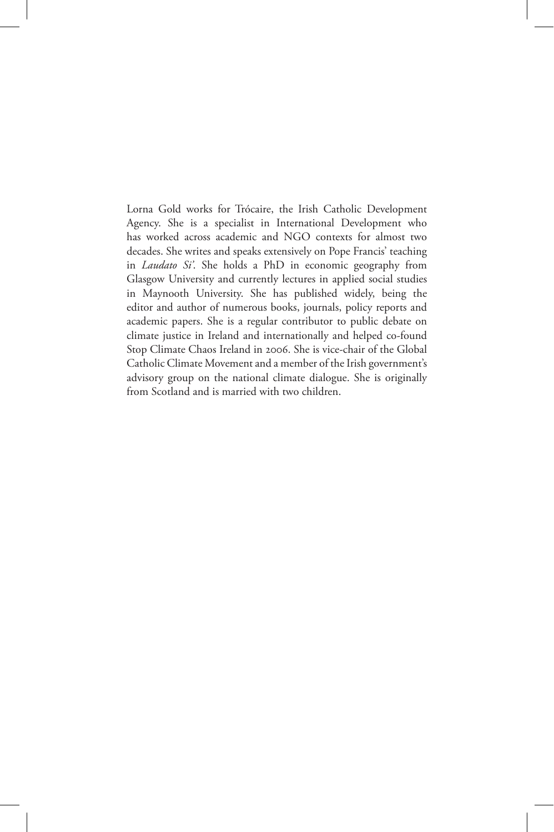Lorna Gold works for Trócaire, the Irish Catholic Development Agency. She is a specialist in International Development who has worked across academic and NGO contexts for almost two decades. She writes and speaks extensively on Pope Francis' teaching in *Laudato Si'*. She holds a PhD in economic geography from Glasgow University and currently lectures in applied social studies in Maynooth University. She has published widely, being the editor and author of numerous books, journals, policy reports and academic papers. She is a regular contributor to public debate on climate justice in Ireland and internationally and helped co-found Stop Climate Chaos Ireland in 2006. She is vice-chair of the Global Catholic Climate Movement and a member of the Irish government's advisory group on the national climate dialogue. She is originally from Scotland and is married with two children.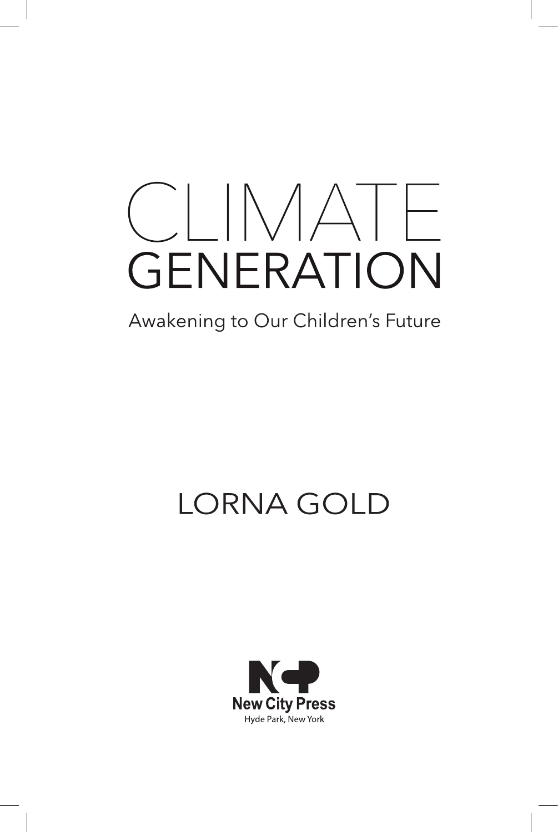# CIMATE GENERATION

Awakening to Our Children's Future

## **LORNA GOLD**

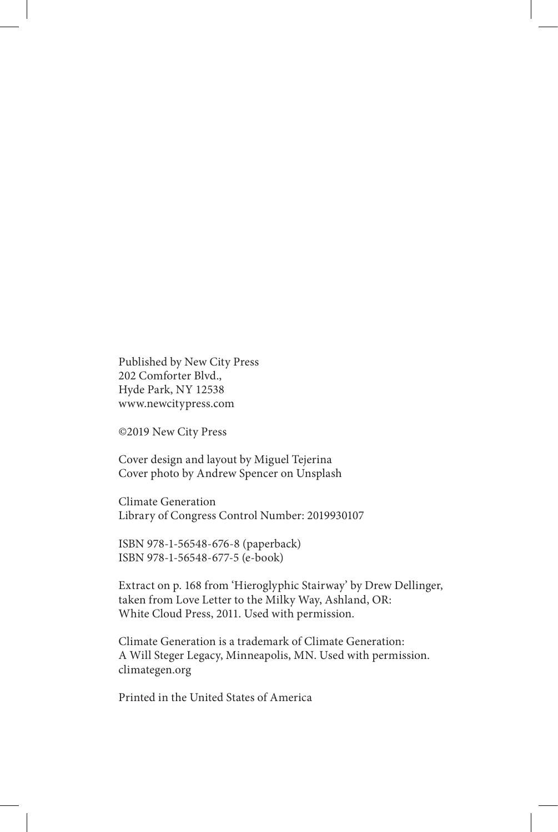Published by New City Press 202 Comforter Blvd., Hyde Park, NY 12538 www.newcitypress.com

©2019 New City Press

Cover design and layout by Miguel Tejerina Cover photo by Andrew Spencer on Unsplash

Climate Generation Library of Congress Control Number: 2019930107

ISBN 978-1-56548-676-8 (paperback) ISBN 978-1-56548-677-5 (e-book)

Extract on p. 168 from 'Hieroglyphic Stairway' by Drew Dellinger, taken from Love Letter to the Milky Way, Ashland, OR: White Cloud Press, 2011. Used with permission.

Climate Generation is a trademark of Climate Generation: A Will Steger Legacy, Minneapolis, MN. Used with permission. climategen.org

Printed in the United States of America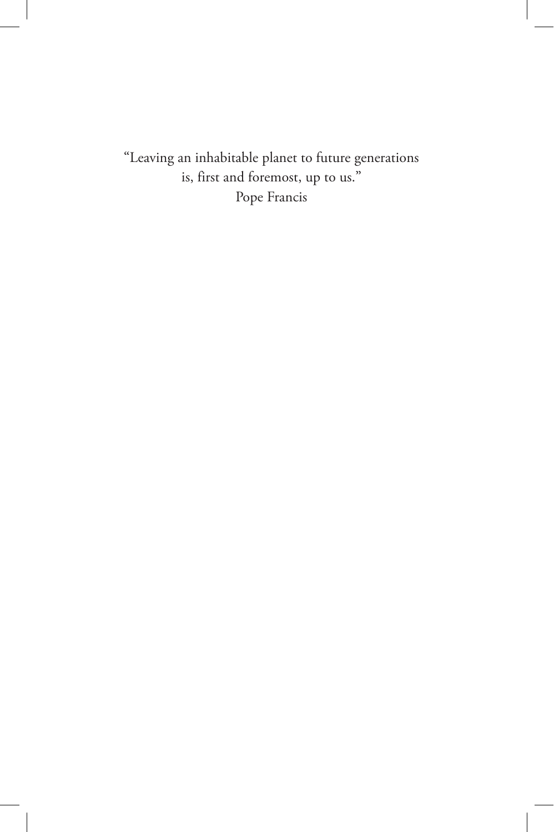"Leaving an inhabitable planet to future generations is, first and foremost, up to us." Pope Francis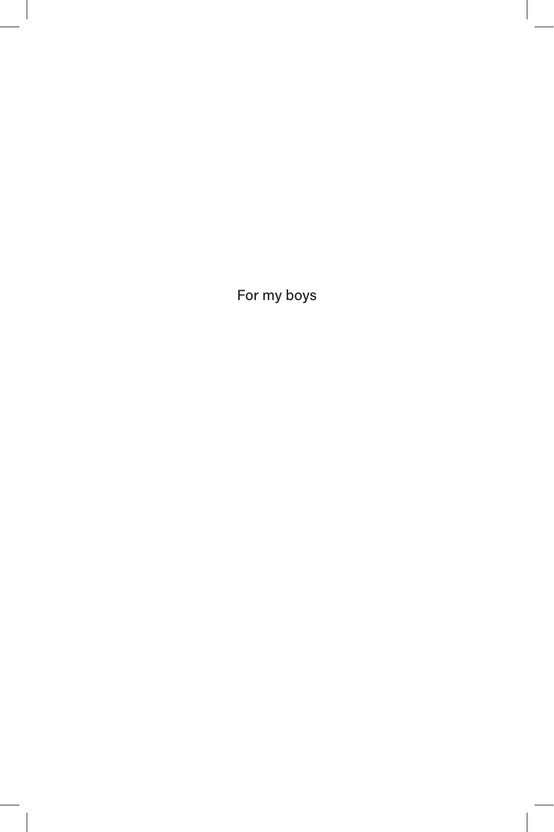For my boys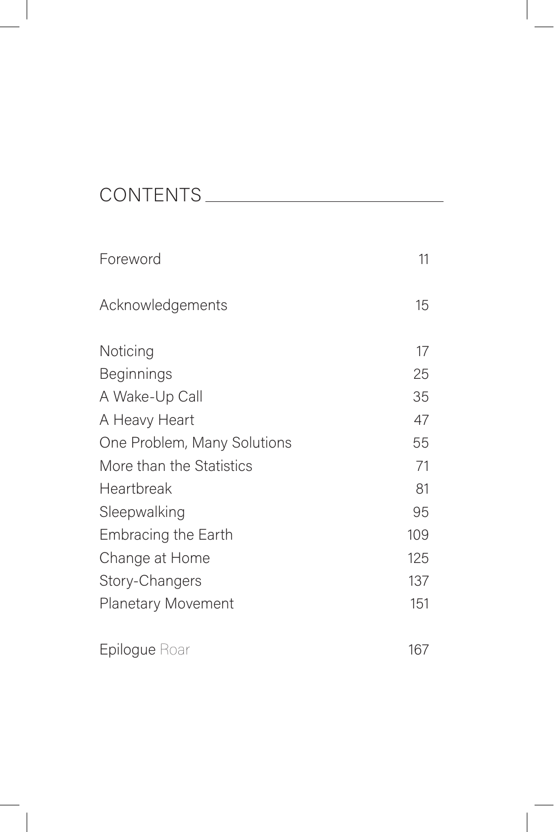### CONTENTS

| Foreword                    | 11  |
|-----------------------------|-----|
| Acknowledgements            | 15  |
| Noticing                    | 17  |
| Beginnings                  | 25  |
| A Wake-Up Call              | 35  |
| A Heavy Heart               | 47  |
| One Problem, Many Solutions | 55  |
| More than the Statistics    | 71  |
| Heartbreak                  | 81  |
| Sleepwalking                | 95  |
| Embracing the Earth         | 109 |
| Change at Home              | 125 |
| Story-Changers              | 137 |
| <b>Planetary Movement</b>   | 151 |
| <b>Epilogue</b> Roar        | 167 |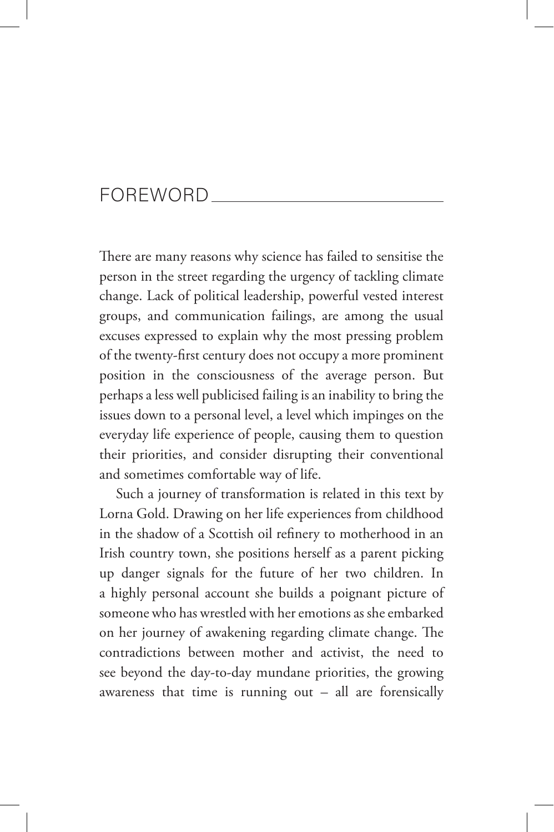#### FOREWORD

There are many reasons why science has failed to sensitise the person in the street regarding the urgency of tackling climate change. Lack of political leadership, powerful vested interest groups, and communication failings, are among the usual excuses expressed to explain why the most pressing problem of the twenty-first century does not occupy a more prominent position in the consciousness of the average person. But perhaps a less well publicised failing is an inability to bring the issues down to a personal level, a level which impinges on the everyday life experience of people, causing them to question their priorities, and consider disrupting their conventional and sometimes comfortable way of life.

Such a journey of transformation is related in this text by Lorna Gold. Drawing on her life experiences from childhood in the shadow of a Scottish oil refinery to motherhood in an Irish country town, she positions herself as a parent picking up danger signals for the future of her two children. In a highly personal account she builds a poignant picture of someone who has wrestled with her emotions as she embarked on her journey of awakening regarding climate change. The contradictions between mother and activist, the need to see beyond the day-to-day mundane priorities, the growing awareness that time is running out – all are forensically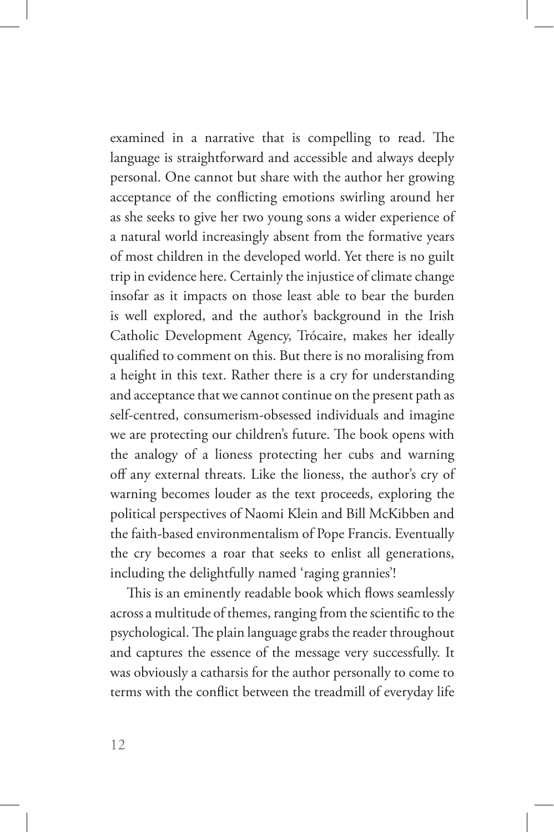examined in a narrative that is compelling to read. The language is straightforward and accessible and always deeply personal. One cannot but share with the author her growing acceptance of the conflicting emotions swirling around her as she seeks to give her two young sons a wider experience of a natural world increasingly absent from the formative years of most children in the developed world. Yet there is no guilt trip in evidence here. Certainly the injustice of climate change insofar as it impacts on those least able to bear the burden is well explored, and the author's background in the Irish Catholic Development Agency, Trócaire, makes her ideally qualified to comment on this. But there is no moralising from a height in this text. Rather there is a cry for understanding and acceptance that we cannot continue on the present path as self-centred, consumerism-obsessed individuals and imagine we are protecting our children's future. The book opens with the analogy of a lioness protecting her cubs and warning off any external threats. Like the lioness, the author's cry of warning becomes louder as the text proceeds, exploring the political perspectives of Naomi Klein and Bill McKibben and the faith-based environmentalism of Pope Francis. Eventually the cry becomes a roar that seeks to enlist all generations, including the delightfully named 'raging grannies'!

This is an eminently readable book which flows seamlessly across a multitude of themes, ranging from the scientific to the psychological. The plain language grabs the reader throughout and captures the essence of the message very successfully. It was obviously a catharsis for the author personally to come to terms with the conflict between the treadmill of everyday life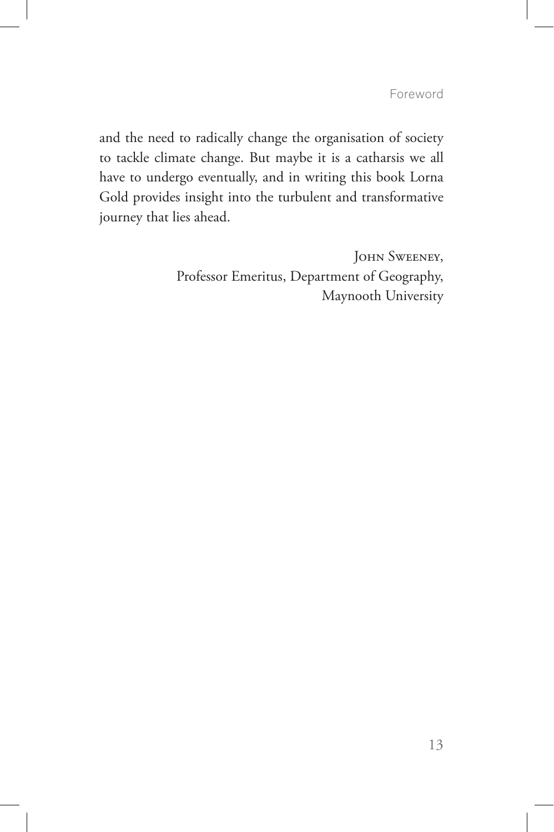and the need to radically change the organisation of society to tackle climate change. But maybe it is a catharsis we all have to undergo eventually, and in writing this book Lorna Gold provides insight into the turbulent and transformative journey that lies ahead.

> John Sweeney, Professor Emeritus, Department of Geography, Maynooth University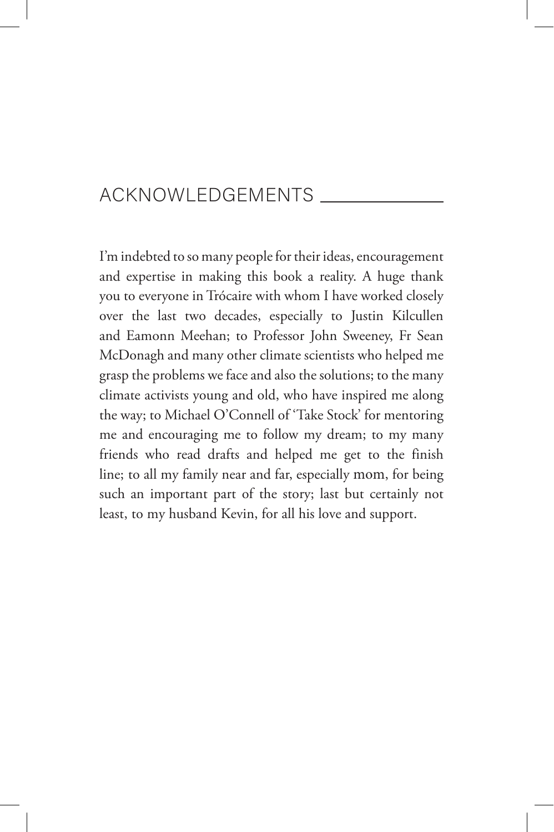#### **ACKNOWLEDGEMENTS**

I'm indebted to so many people for their ideas, encouragement and expertise in making this book a reality. A huge thank you to everyone in Trócaire with whom I have worked closely over the last two decades, especially to Justin Kilcullen and Eamonn Meehan; to Professor John Sweeney, Fr Sean McDonagh and many other climate scientists who helped me grasp the problems we face and also the solutions; to the many climate activists young and old, who have inspired me along the way; to Michael O'Connell of 'Take Stock' for mentoring me and encouraging me to follow my dream; to my many friends who read drafts and helped me get to the finish line; to all my family near and far, especially mom, for being such an important part of the story; last but certainly not least, to my husband Kevin, for all his love and support.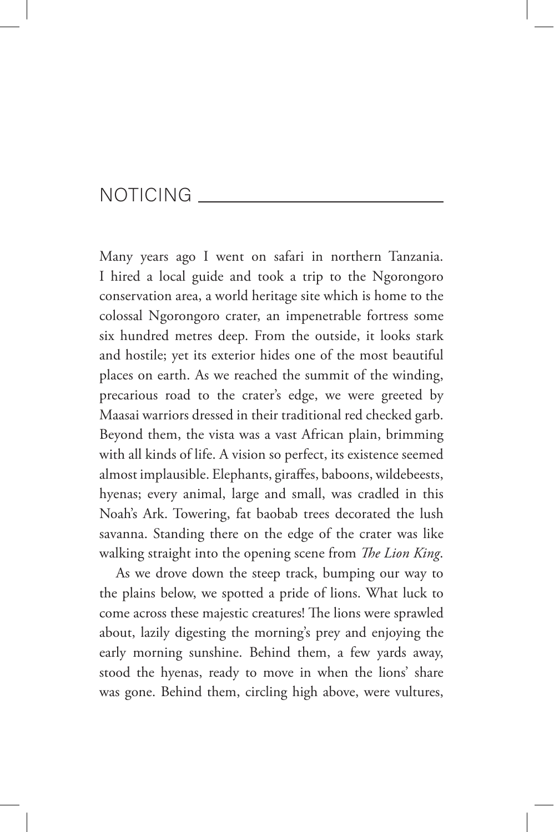#### NOTICING

Many years ago I went on safari in northern Tanzania. I hired a local guide and took a trip to the Ngorongoro conservation area, a world heritage site which is home to the colossal Ngorongoro crater, an impenetrable fortress some six hundred metres deep. From the outside, it looks stark and hostile; yet its exterior hides one of the most beautiful places on earth. As we reached the summit of the winding, precarious road to the crater's edge, we were greeted by Maasai warriors dressed in their traditional red checked garb. Beyond them, the vista was a vast African plain, brimming with all kinds of life. A vision so perfect, its existence seemed almost implausible. Elephants, giraffes, baboons, wildebeests, hyenas; every animal, large and small, was cradled in this Noah's Ark. Towering, fat baobab trees decorated the lush savanna. Standing there on the edge of the crater was like walking straight into the opening scene from *The Lion King*.

As we drove down the steep track, bumping our way to the plains below, we spotted a pride of lions. What luck to come across these majestic creatures! The lions were sprawled about, lazily digesting the morning's prey and enjoying the early morning sunshine. Behind them, a few yards away, stood the hyenas, ready to move in when the lions' share was gone. Behind them, circling high above, were vultures,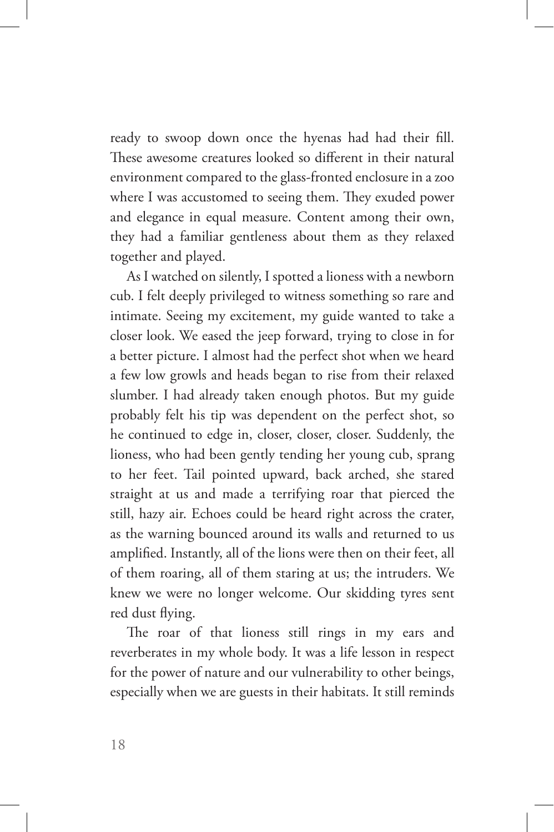ready to swoop down once the hyenas had had their fill. These awesome creatures looked so different in their natural environment compared to the glass-fronted enclosure in a zoo where I was accustomed to seeing them. They exuded power and elegance in equal measure. Content among their own, they had a familiar gentleness about them as they relaxed together and played.

As I watched on silently, I spotted a lioness with a newborn cub. I felt deeply privileged to witness something so rare and intimate. Seeing my excitement, my guide wanted to take a closer look. We eased the jeep forward, trying to close in for a better picture. I almost had the perfect shot when we heard a few low growls and heads began to rise from their relaxed slumber. I had already taken enough photos. But my guide probably felt his tip was dependent on the perfect shot, so he continued to edge in, closer, closer, closer. Suddenly, the lioness, who had been gently tending her young cub, sprang to her feet. Tail pointed upward, back arched, she stared straight at us and made a terrifying roar that pierced the still, hazy air. Echoes could be heard right across the crater, as the warning bounced around its walls and returned to us amplified. Instantly, all of the lions were then on their feet, all of them roaring, all of them staring at us; the intruders. We knew we were no longer welcome. Our skidding tyres sent red dust flying.

The roar of that lioness still rings in my ears and reverberates in my whole body. It was a life lesson in respect for the power of nature and our vulnerability to other beings, especially when we are guests in their habitats. It still reminds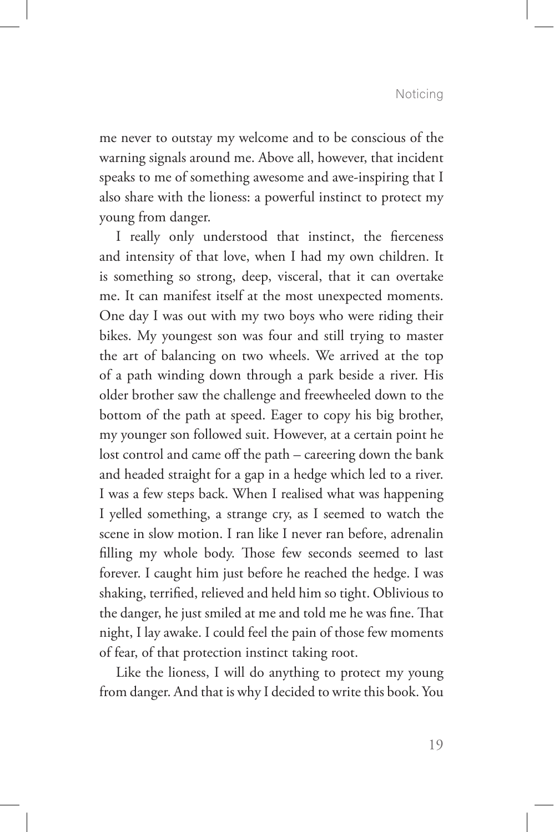me never to outstay my welcome and to be conscious of the warning signals around me. Above all, however, that incident speaks to me of something awesome and awe-inspiring that I also share with the lioness: a powerful instinct to protect my young from danger.

I really only understood that instinct, the fierceness and intensity of that love, when I had my own children. It is something so strong, deep, visceral, that it can overtake me. It can manifest itself at the most unexpected moments. One day I was out with my two boys who were riding their bikes. My youngest son was four and still trying to master the art of balancing on two wheels. We arrived at the top of a path winding down through a park beside a river. His older brother saw the challenge and freewheeled down to the bottom of the path at speed. Eager to copy his big brother, my younger son followed suit. However, at a certain point he lost control and came off the path – careering down the bank and headed straight for a gap in a hedge which led to a river. I was a few steps back. When I realised what was happening I yelled something, a strange cry, as I seemed to watch the scene in slow motion. I ran like I never ran before, adrenalin filling my whole body. Those few seconds seemed to last forever. I caught him just before he reached the hedge. I was shaking, terrified, relieved and held him so tight. Oblivious to the danger, he just smiled at me and told me he was fine. That night, I lay awake. I could feel the pain of those few moments of fear, of that protection instinct taking root.

Like the lioness, I will do anything to protect my young from danger. And that is why I decided to write this book. You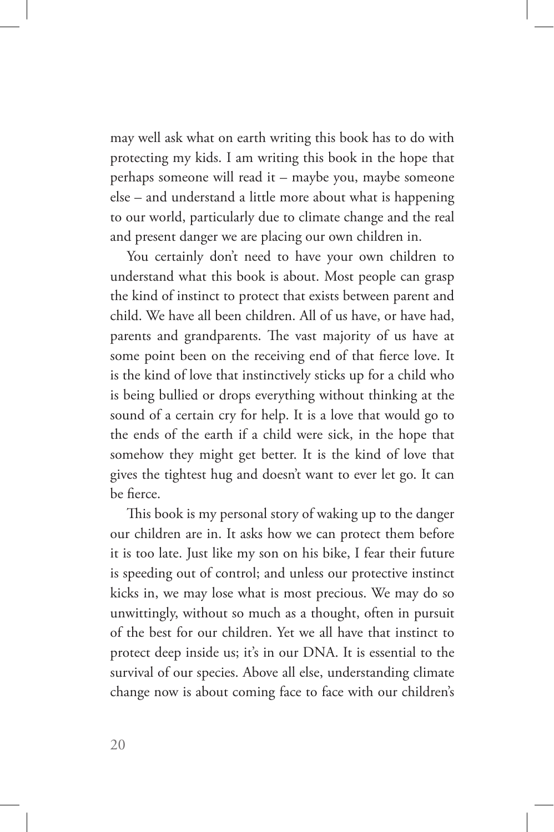may well ask what on earth writing this book has to do with protecting my kids. I am writing this book in the hope that perhaps someone will read it – maybe you, maybe someone else – and understand a little more about what is happening to our world, particularly due to climate change and the real and present danger we are placing our own children in.

You certainly don't need to have your own children to understand what this book is about. Most people can grasp the kind of instinct to protect that exists between parent and child. We have all been children. All of us have, or have had, parents and grandparents. The vast majority of us have at some point been on the receiving end of that fierce love. It is the kind of love that instinctively sticks up for a child who is being bullied or drops everything without thinking at the sound of a certain cry for help. It is a love that would go to the ends of the earth if a child were sick, in the hope that somehow they might get better. It is the kind of love that gives the tightest hug and doesn't want to ever let go. It can be fierce.

This book is my personal story of waking up to the danger our children are in. It asks how we can protect them before it is too late. Just like my son on his bike, I fear their future is speeding out of control; and unless our protective instinct kicks in, we may lose what is most precious. We may do so unwittingly, without so much as a thought, often in pursuit of the best for our children. Yet we all have that instinct to protect deep inside us; it's in our DNA. It is essential to the survival of our species. Above all else, understanding climate change now is about coming face to face with our children's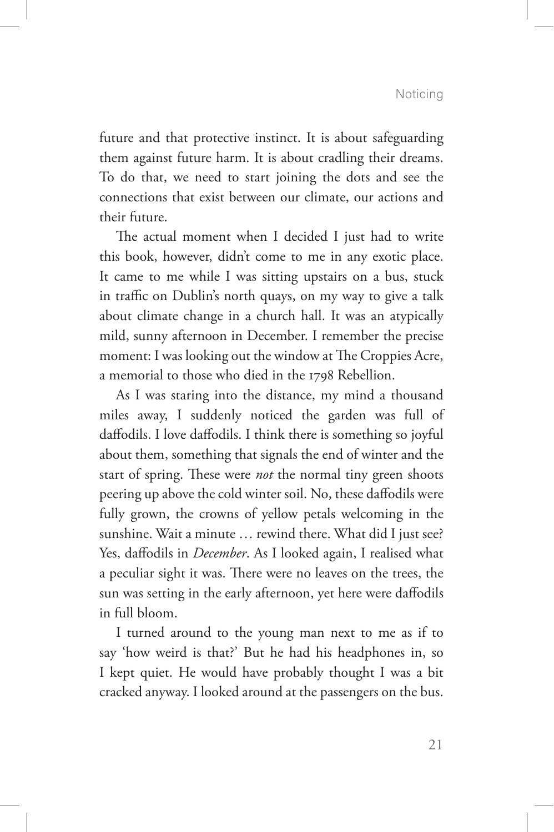future and that protective instinct. It is about safeguarding them against future harm. It is about cradling their dreams. To do that, we need to start joining the dots and see the connections that exist between our climate, our actions and their future.

The actual moment when I decided I just had to write this book, however, didn't come to me in any exotic place. It came to me while I was sitting upstairs on a bus, stuck in traffic on Dublin's north quays, on my way to give a talk about climate change in a church hall. It was an atypically mild, sunny afternoon in December. I remember the precise moment: I was looking out the window at The Croppies Acre, a memorial to those who died in the 1798 Rebellion.

As I was staring into the distance, my mind a thousand miles away, I suddenly noticed the garden was full of daffodils. I love daffodils. I think there is something so joyful about them, something that signals the end of winter and the start of spring. These were *not* the normal tiny green shoots peering up above the cold winter soil. No, these daffodils were fully grown, the crowns of yellow petals welcoming in the sunshine. Wait a minute … rewind there. What did I just see? Yes, daffodils in *December*. As I looked again, I realised what a peculiar sight it was. There were no leaves on the trees, the sun was setting in the early afternoon, yet here were daffodils in full bloom.

I turned around to the young man next to me as if to say 'how weird is that?' But he had his headphones in, so I kept quiet. He would have probably thought I was a bit cracked anyway. I looked around at the passengers on the bus.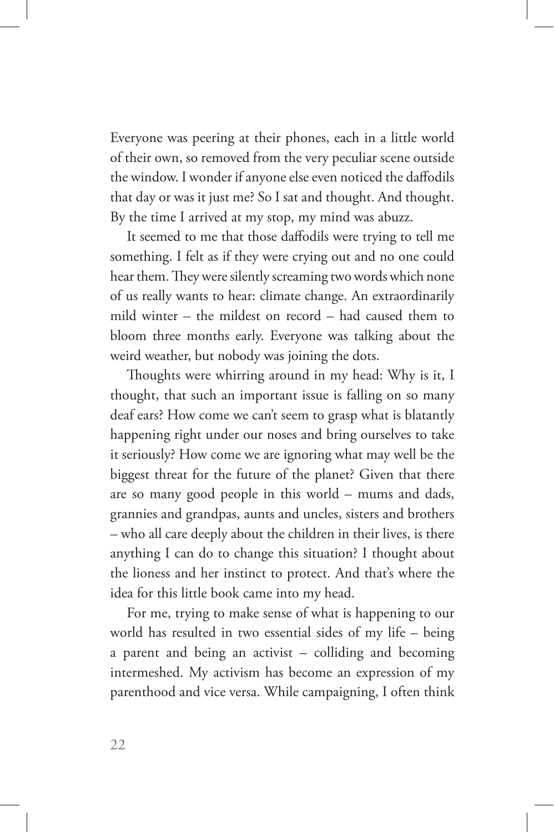Everyone was peering at their phones, each in a little world of their own, so removed from the very peculiar scene outside the window. I wonder if anyone else even noticed the daffodils that day or was it just me? So I sat and thought. And thought. By the time I arrived at my stop, my mind was abuzz.

It seemed to me that those daffodils were trying to tell me something. I felt as if they were crying out and no one could hear them. They were silently screaming two words which none of us really wants to hear: climate change. An extraordinarily mild winter – the mildest on record – had caused them to bloom three months early. Everyone was talking about the weird weather, but nobody was joining the dots.

Thoughts were whirring around in my head: Why is it, I thought, that such an important issue is falling on so many deaf ears? How come we can't seem to grasp what is blatantly happening right under our noses and bring ourselves to take it seriously? How come we are ignoring what may well be the biggest threat for the future of the planet? Given that there are so many good people in this world – mums and dads, grannies and grandpas, aunts and uncles, sisters and brothers – who all care deeply about the children in their lives, is there anything I can do to change this situation? I thought about the lioness and her instinct to protect. And that's where the idea for this little book came into my head.

For me, trying to make sense of what is happening to our world has resulted in two essential sides of my life – being a parent and being an activist – colliding and becoming intermeshed. My activism has become an expression of my parenthood and vice versa. While campaigning, I often think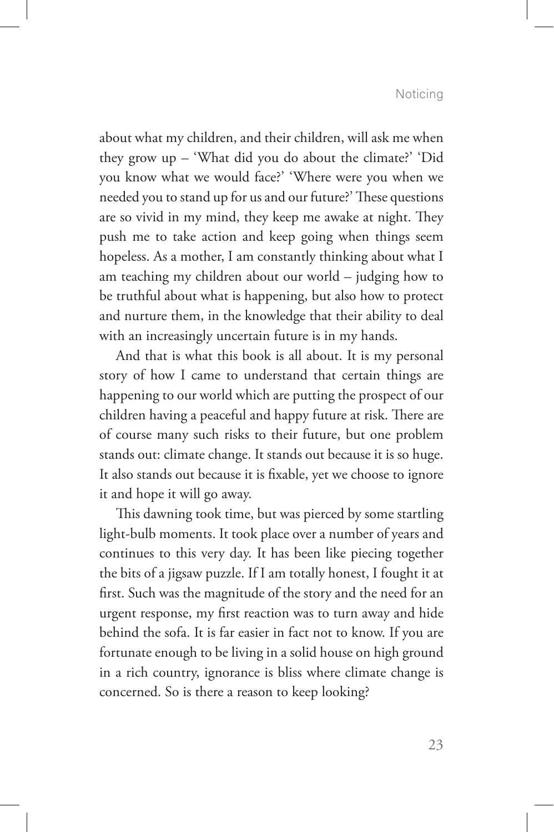about what my children, and their children, will ask me when they grow up – 'What did you do about the climate?' 'Did you know what we would face?' 'Where were you when we needed you to stand up for us and our future?' These questions are so vivid in my mind, they keep me awake at night. They push me to take action and keep going when things seem hopeless. As a mother, I am constantly thinking about what I am teaching my children about our world – judging how to be truthful about what is happening, but also how to protect and nurture them, in the knowledge that their ability to deal with an increasingly uncertain future is in my hands.

And that is what this book is all about. It is my personal story of how I came to understand that certain things are happening to our world which are putting the prospect of our children having a peaceful and happy future at risk. There are of course many such risks to their future, but one problem stands out: climate change. It stands out because it is so huge. It also stands out because it is fixable, yet we choose to ignore it and hope it will go away.

This dawning took time, but was pierced by some startling light-bulb moments. It took place over a number of years and continues to this very day. It has been like piecing together the bits of a jigsaw puzzle. If I am totally honest, I fought it at first. Such was the magnitude of the story and the need for an urgent response, my first reaction was to turn away and hide behind the sofa. It is far easier in fact not to know. If you are fortunate enough to be living in a solid house on high ground in a rich country, ignorance is bliss where climate change is concerned. So is there a reason to keep looking?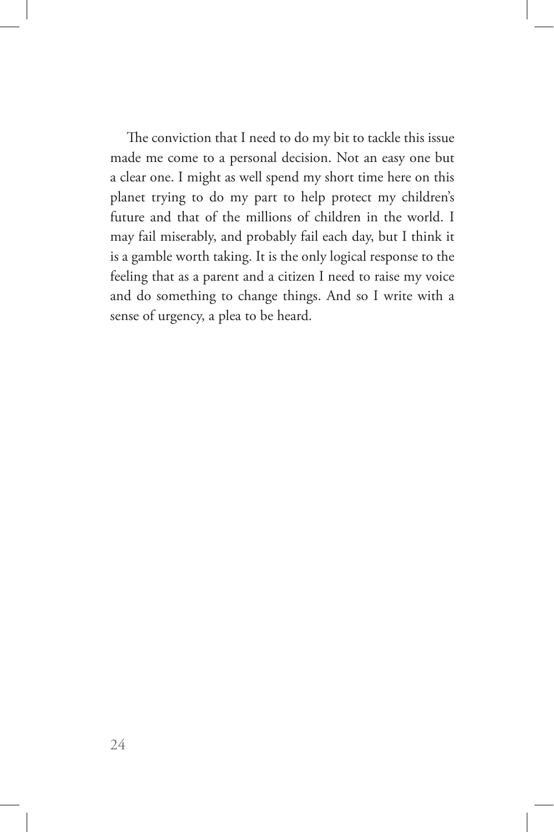The conviction that I need to do my bit to tackle this issue made me come to a personal decision. Not an easy one but a clear one. I might as well spend my short time here on this planet trying to do my part to help protect my children's future and that of the millions of children in the world. I may fail miserably, and probably fail each day, but I think it is a gamble worth taking. It is the only logical response to the feeling that as a parent and a citizen I need to raise my voice and do something to change things. And so I write with a sense of urgency, a plea to be heard.